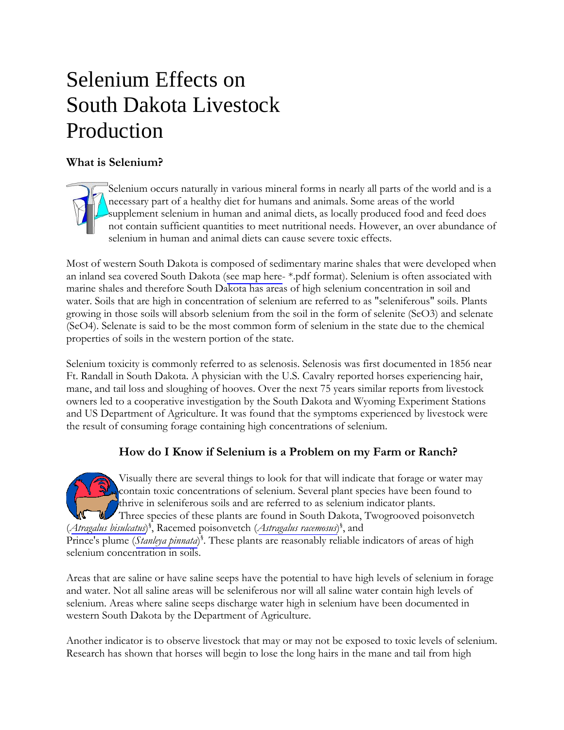## Selenium Effects on South Dakota Livestock Production

## **What is Selenium?**

Selenium occurs naturally in various mineral forms in nearly all parts of the world and is a necessary part of a healthy diet for humans and animals. Some areas of the world supplement selenium in human and animal diets, as locally produced food and feed does not contain sufficient quantities to meet nutritional needs. However, an over abundance of selenium in human and animal diets can cause severe toxic effects.

Most of western South Dakota is composed of sedimentary marine shales that were developed when an inland sea covered South Dakota ([see map here-](\selenium_map.pdf) \*.pdf format). Selenium is often associated with marine shales and therefore South Dakota has areas of high selenium concentration in soil and water. Soils that are high in concentration of selenium are referred to as "seleniferous" soils. Plants growing in those soils will absorb selenium from the soil in the form of selenite (SeO3) and selenate (SeO4). Selenate is said to be the most common form of selenium in the state due to the chemical properties of soils in the western portion of the state.

Selenium toxicity is commonly referred to as selenosis. Selenosis was first documented in 1856 near Ft. Randall in South Dakota. A physician with the U.S. Cavalry reported horses experiencing hair, mane, and tail loss and sloughing of hooves. Over the next 75 years similar reports from livestock owners led to a cooperative investigation by the South Dakota and Wyoming Experiment Stations and US Department of Agriculture. It was found that the symptoms experienced by livestock were the result of consuming forage containing high concentrations of selenium.

## **How do I Know if Selenium is a Problem on my Farm or Ranch?**

Visually there are several things to look for that will indicate that forage or water may  $\widetilde{\mathbb{R}}$  contain toxic concentrations of selenium. Several plant species have been found to thrive in seleniferous soils and are referred to as selenium indicator plants. Three species of these plants are found in South Dakota, Twogrooved poisonvetch

(*[Atragalus bisulcatus](\images\astragalusbisulcatus345.jpg)*) § , Racemed poisonvetch (*[Astragalus racemosus](images\astragalusracemosus364.jpg)*) § , and Prince's plume (*[Stanleya pinnata](images\stanleyapinnata372.jpg)*) § . These plants are reasonably reliable indicators of areas of high selenium concentration in soils.

Areas that are saline or have saline seeps have the potential to have high levels of selenium in forage and water. Not all saline areas will be seleniferous nor will all saline water contain high levels of selenium. Areas where saline seeps discharge water high in selenium have been documented in western South Dakota by the Department of Agriculture.

Another indicator is to observe livestock that may or may not be exposed to toxic levels of selenium. Research has shown that horses will begin to lose the long hairs in the mane and tail from high